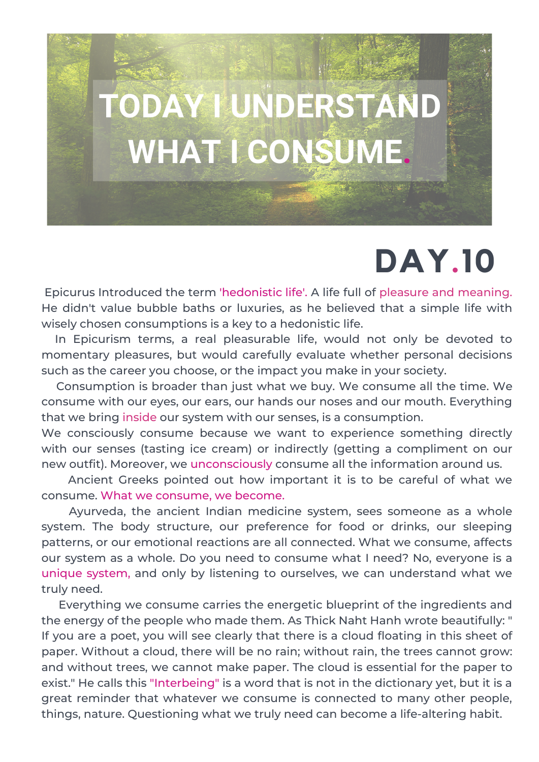# **TODAY I UNDERSTAND WHAT I CONSUME.**

### **DAY.10**

Epicurus Introduced the term 'hedonistic life'. A life full of pleasure and meaning. He didn't value bubble baths or luxuries, as he believed that a simple life with wisely chosen consumptions is a key to a hedonistic life.

In Epicurism terms, a real pleasurable life, would not only be devoted to momentary pleasures, but would carefully evaluate whether personal decisions such as the career you choose, or the impact you make in your society.

Consumption is broader than just what we buy. We consume all the time. We consume with our eyes, our ears, our hands our noses and our mouth. Everything that we bring inside our system with our senses, is a consumption.

We consciously consume because we want to experience something directly with our senses (tasting ice cream) or indirectly (getting a compliment on our new outfit). Moreover, we unconsciously consume all the information around us.

Ancient Greeks pointed out how important it is to be careful of what we consume. What we consume, we become.

Ayurveda, the ancient Indian medicine system, sees someone as a whole system. The body structure, our preference for food or drinks, our sleeping patterns, or our emotional reactions are all connected. What we consume, affects our system as a whole. Do you need to consume what I need? No, everyone is a unique system, and only by listening to ourselves, we can understand what we truly need.

Everything we consume carries the energetic blueprint of the ingredients and the energy of the people who made them. As Thick Naht Hanh wrote beautifully: " If you are a poet, you will see clearly that there is a cloud floating in this sheet of paper. Without a cloud, there will be no rain; without rain, the trees cannot grow: and without trees, we cannot make paper. The cloud is essential for the paper to exist." He calls this "Interbeing" is a word that is not in the dictionary yet, but it is a great reminder that whatever we consume is connected to many other people, things, nature. Questioning what we truly need can become a life-altering habit.